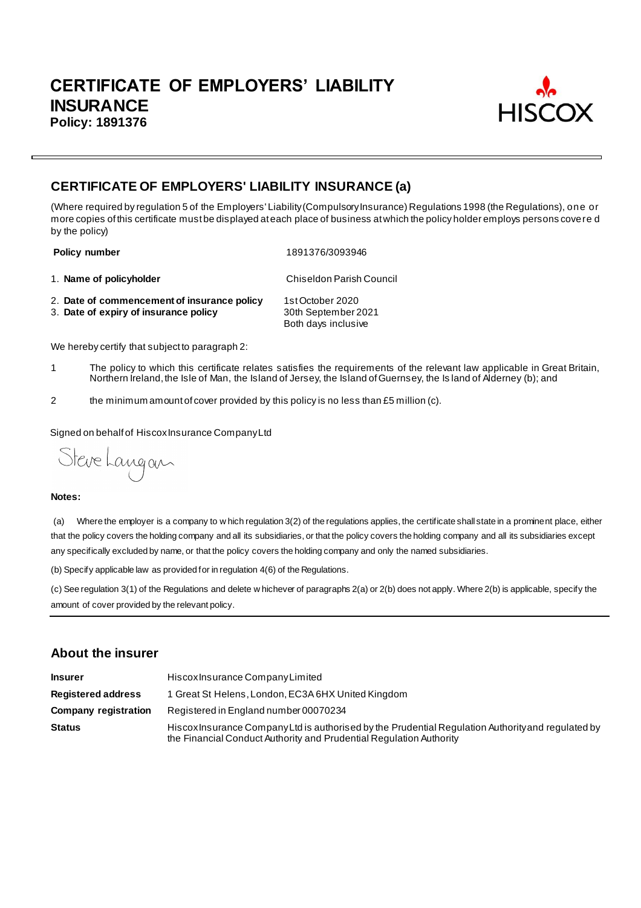

# **CERTIFICATE OF EMPLOYERS' LIABILITY INSURANCE (a)**

(Where required by regulation 5 of the Employers' Liability (Compulsory Insurance) Regulations 1998 (the Regulations), one or more copies of this certificate must be displayed at each place of business at which the policy holder employs persons covere d by the policy)

**Policy number** 1891376/3093946

1. **Name of policyholder** Chiseldon Parish Council

- 2. **Date of commencement of insurance policy** 1st October 2020<br>3. **Date of expiry of insurance policy** 30th September 2021
- 3. Date of expiry of insurance policy

Both days inclusive

We hereby certify that subject to paragraph 2:

- 1 The policy to which this certificate relates satisfies the requirements of the relevant law applicable in Great Britain, Northern Ireland, the Isle of Man, the Island of Jersey, the Island of Guernsey, the Is land of Alderney (b); and
- 2 the minimum amount of cover provided by this policy is no less than £5 million (c).

Signed on behalf of Hiscox Insurance Company Ltd

Steve Langan

#### **Notes:**

(a) Where the employer is a company to w hich regulation 3(2) of the regulations applies, the certificate shall state in a prominent place, either that the policy covers the holding company and all its subsidiaries, or that the policy covers the holding company and all its subsidiaries except any specifically excluded by name, or that the policy covers the holding company and only the named subsidiaries.

(b) Specify applicable law as provided for in regulation 4(6) of the Regulations.

(c) See regulation 3(1) of the Regulations and delete w hichever of paragraphs 2(a) or 2(b) does not apply. Where 2(b) is applicable, specify the amount of cover provided by the relevant policy.

## **About the insurer**

| <b>Insurer</b>              | Hiscox Insurance Company Limited                                                                                                                                          |
|-----------------------------|---------------------------------------------------------------------------------------------------------------------------------------------------------------------------|
| <b>Registered address</b>   | 1 Great St Helens, London, EC3A 6HX United Kingdom                                                                                                                        |
| <b>Company registration</b> | Registered in England number 00070234                                                                                                                                     |
| <b>Status</b>               | Hiscox Insurance Company Ltd is authorised by the Prudential Regulation Authority and regulated by<br>the Financial Conduct Authority and Prudential Regulation Authority |